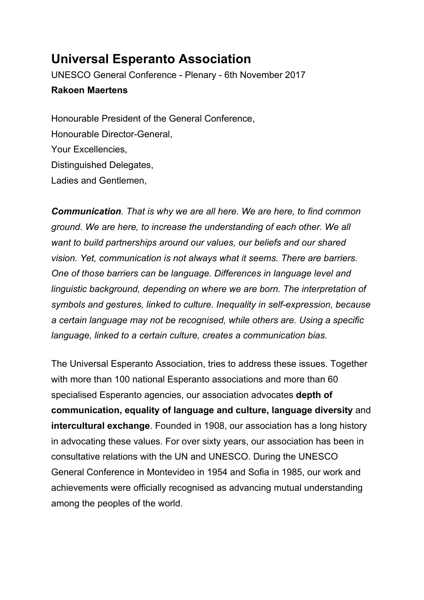## **Universal Esperanto Association**

UNESCO General Conference - Plenary - 6th November 2017 **Rakoen Maertens**

Honourable President of the General Conference, Honourable Director-General, Your Excellencies, Distinguished Delegates, Ladies and Gentlemen,

*Communication. That is why we are all here. We are here, to find common ground. We are here, to increase the understanding of each other. We all want to build partnerships around our values, our beliefs and our shared vision. Yet, communication is not always what it seems. There are barriers. One of those barriers can be language. Differences in language level and linguistic background, depending on where we are born. The interpretation of symbols and gestures, linked to culture. Inequality in self-expression, because a certain language may not be recognised, while others are. Using a specific language, linked to a certain culture, creates a communication bias.*

The Universal Esperanto Association, tries to address these issues. Together with more than 100 national Esperanto associations and more than 60 specialised Esperanto agencies, our association advocates **depth of communication, equality of language and culture, language diversity** and **intercultural exchange**. Founded in 1908, our association has a long history in advocating these values. For over sixty years, our association has been in consultative relations with the UN and UNESCO. During the UNESCO General Conference in Montevideo in 1954 and Sofia in 1985, our work and achievements were officially recognised as advancing mutual understanding among the peoples of the world.